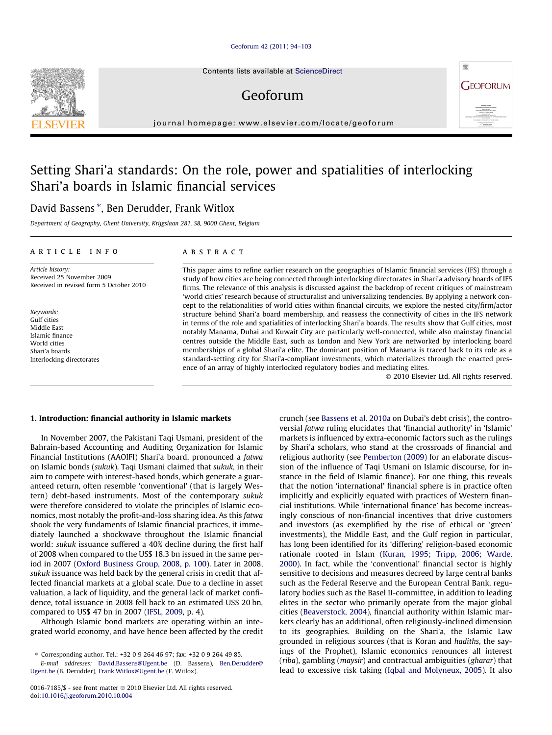#### [Geoforum 42 \(2011\) 94–103](http://dx.doi.org/10.1016/j.geoforum.2010.10.004)

Contents lists available at [ScienceDirect](http://www.sciencedirect.com/science/journal/00167185)

## Geoforum

journal homepage: [www.elsevier.com/locate/geoforum](http://www.elsevier.com/locate/geoforum)

## Setting Shari'a standards: On the role, power and spatialities of interlocking Shari'a boards in Islamic financial services

### David Bassens \*, Ben Derudder, Frank Witlox

Department of Geography, Ghent University, Krijgslaan 281, S8, 9000 Ghent, Belgium

#### article info

Article history: Received 25 November 2009 Received in revised form 5 October 2010

Keywords: Gulf cities Middle East Islamic finance World cities Shari'a boards Interlocking directorates

#### **ABSTRACT**

This paper aims to refine earlier research on the geographies of Islamic financial services (IFS) through a study of how cities are being connected through interlocking directorates in Shari'a advisory boards of IFS firms. The relevance of this analysis is discussed against the backdrop of recent critiques of mainstream 'world cities' research because of structuralist and universalizing tendencies. By applying a network concept to the relationalities of world cities within financial circuits, we explore the nested city/firm/actor structure behind Shari'a board membership, and reassess the connectivity of cities in the IFS network in terms of the role and spatialities of interlocking Shari'a boards. The results show that Gulf cities, most notably Manama, Dubai and Kuwait City are particularly well-connected, while also mainstay financial centres outside the Middle East, such as London and New York are networked by interlocking board memberships of a global Shari'a elite. The dominant position of Manama is traced back to its role as a standard-setting city for Shari'a-compliant investments, which materializes through the enacted presence of an array of highly interlocked regulatory bodies and mediating elites.

- 2010 Elsevier Ltd. All rights reserved.

#### 1. Introduction: financial authority in Islamic markets

In November 2007, the Pakistani Taqi Usmani, president of the Bahrain-based Accounting and Auditing Organization for Islamic Financial Institutions (AAOIFI) Shari'a board, pronounced a fatwa on Islamic bonds (sukuk). Taqi Usmani claimed that sukuk, in their aim to compete with interest-based bonds, which generate a guaranteed return, often resemble 'conventional' (that is largely Western) debt-based instruments. Most of the contemporary sukuk were therefore considered to violate the principles of Islamic economics, most notably the profit-and-loss sharing idea. As this fatwa shook the very fundaments of Islamic financial practices, it immediately launched a shockwave throughout the Islamic financial world: sukuk issuance suffered a 40% decline during the first half of 2008 when compared to the US\$ 18.3 bn issued in the same period in 2007 ([Oxford Business Group, 2008, p. 100\)](#page--1-0). Later in 2008, sukuk issuance was held back by the general crisis in credit that affected financial markets at a global scale. Due to a decline in asset valuation, a lack of liquidity, and the general lack of market confidence, total issuance in 2008 fell back to an estimated US\$ 20 bn, compared to US\$ 47 bn in 2007 ([IFSL, 2009](#page--1-0), p. 4).

Although Islamic bond markets are operating within an integrated world economy, and have hence been affected by the credit crunch (see [Bassens et al. 2010a](#page--1-0) on Dubai's debt crisis), the controversial fatwa ruling elucidates that 'financial authority' in 'Islamic' markets is influenced by extra-economic factors such as the rulings by Shari'a scholars, who stand at the crossroads of financial and religious authority (see [Pemberton \(2009\)](#page--1-0) for an elaborate discussion of the influence of Taqi Usmani on Islamic discourse, for instance in the field of Islamic finance). For one thing, this reveals that the notion 'international' financial sphere is in practice often implicitly and explicitly equated with practices of Western financial institutions. While 'international finance' has become increasingly conscious of non-financial incentives that drive customers and investors (as exemplified by the rise of ethical or 'green' investments), the Middle East, and the Gulf region in particular, has long been identified for its 'differing' religion-based economic rationale rooted in Islam [\(Kuran, 1995; Tripp, 2006; Warde,](#page--1-0) [2000](#page--1-0)). In fact, while the 'conventional' financial sector is highly sensitive to decisions and measures decreed by large central banks such as the Federal Reserve and the European Central Bank, regulatory bodies such as the Basel II-committee, in addition to leading elites in the sector who primarily operate from the major global cities [\(Beaverstock, 2004](#page--1-0)), financial authority within Islamic markets clearly has an additional, often religiously-inclined dimension to its geographies. Building on the Shari'a, the Islamic Law grounded in religious sources (that is Koran and hadiths, the sayings of the Prophet), Islamic economics renounces all interest (riba), gambling (maysir) and contractual ambiguities (gharar) that lead to excessive risk taking ([Iqbal and Molyneux, 2005](#page--1-0)). It also





<sup>⇑</sup> Corresponding author. Tel.: +32 0 9 264 46 97; fax: +32 0 9 264 49 85.

E-mail addresses: [David.Bassens@Ugent.be](mailto:David.Bassens@Ugent.be) (D. Bassens), [Ben.Derudder@](mailto:Ben.Derudder@  Ugent.be) [Ugent.be](mailto:Ben.Derudder@  Ugent.be) (B. Derudder), [Frank.Witlox@Ugent.be](mailto:Frank.Witlox@Ugent.be) (F. Witlox).

<sup>0016-7185/\$ -</sup> see front matter © 2010 Elsevier Ltd. All rights reserved. doi:[10.1016/j.geoforum.2010.10.004](http://dx.doi.org/10.1016/j.geoforum.2010.10.004)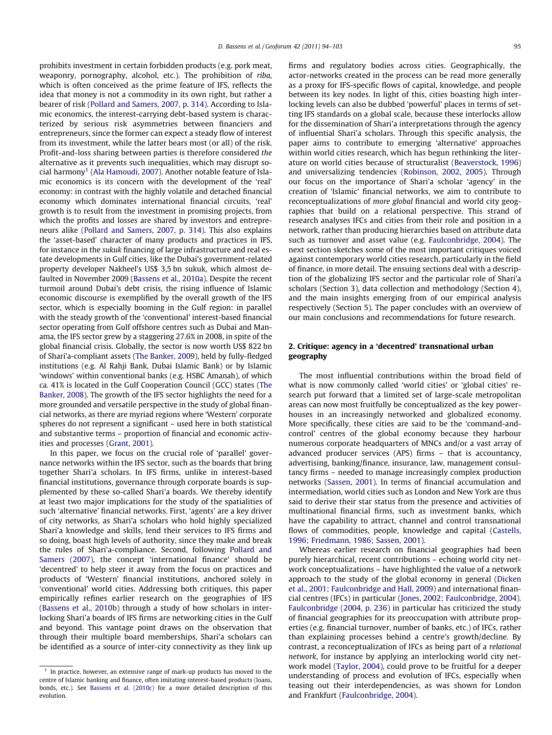prohibits investment in certain forbidden products (e.g. pork meat, weaponry, pornography, alcohol, etc.). The prohibition of riba, which is often conceived as the prime feature of IFS, reflects the idea that money is not a commodity in its own right, but rather a bearer of risk ([Pollard and Samers, 2007, p. 314](#page--1-0)). According to Islamic economics, the interest-carrying debt-based system is characterized by serious risk asymmetries between financiers and entrepreneurs, since the former can expect a steady flow of interest from its investment, while the latter bears most (or all) of the risk. Profit-and-loss sharing between parties is therefore considered the alternative as it prevents such inequalities, which may disrupt so-cial harmony<sup>1</sup> ([Ala Hamoudi, 2007](#page--1-0)). Another notable feature of Islamic economics is its concern with the development of the 'real' economy: in contrast with the highly volatile and detached financial economy which dominates international financial circuits, 'real' growth is to result from the investment in promising projects, from which the profits and losses are shared by investors and entrepreneurs alike ([Pollard and Samers, 2007, p. 314\)](#page--1-0). This also explains the 'asset-based' character of many products and practices in IFS, for instance in the sukuk financing of large infrastructure and real estate developments in Gulf cities, like the Dubai's government-related property developer Nakheel's US\$ 3,5 bn sukuk, which almost defaulted in November 2009 [\(Bassens et al., 2010a](#page--1-0)). Despite the recent turmoil around Dubai's debt crisis, the rising influence of Islamic economic discourse is exemplified by the overall growth of the IFS sector, which is especially booming in the Gulf region: in parallel with the steady growth of the 'conventional' interest-based financial sector operating from Gulf offshore centres such as Dubai and Manama, the IFS sector grew by a staggering 27.6% in 2008, in spite of the global financial crisis. Globally, the sector is now worth US\$ 822 bn of Shari'a-compliant assets [\(The Banker, 2009](#page--1-0)), held by fully-fledged institutions (e.g. Al Rahji Bank, Dubai Islamic Bank) or by Islamic 'windows' within conventional banks (e.g. HSBC Amanah), of which ca. 41% is located in the Gulf Cooperation Council (GCC) states [\(The](#page--1-0) [Banker, 2008\)](#page--1-0). The growth of the IFS sector highlights the need for a more grounded and versatile perspective in the study of global financial networks, as there are myriad regions where 'Western' corporate spheres do not represent a significant – used here in both statistical and substantive terms – proportion of financial and economic activities and processes ([Grant, 2001](#page--1-0)).

In this paper, we focus on the crucial role of 'parallel' governance networks within the IFS sector, such as the boards that bring together Shari'a scholars. In IFS firms, unlike in interest-based financial institutions, governance through corporate boards is supplemented by these so-called Shari'a boards. We thereby identify at least two major implications for the study of the spatialities of such 'alternative' financial networks. First, 'agents' are a key driver of city networks, as Shari'a scholars who hold highly specialized Shari'a knowledge and skills, lend their services to IFS firms and so doing, boast high levels of authority, since they make and break the rules of Shari'a-compliance. Second, following [Pollard and](#page--1-0) [Samers \(2007\),](#page--1-0) the concept 'international finance' should be 'decentred' to help steer it away from the focus on practices and products of 'Western' financial institutions, anchored solely in 'conventional' world cities. Addressing both critiques, this paper empirically refines earlier research on the geographies of IFS ([Bassens et al., 2010b](#page--1-0)) through a study of how scholars in interlocking Shari'a boards of IFS firms are networking cities in the Gulf and beyond. This vantage point draws on the observation that through their multiple board memberships, Shari'a scholars can be identified as a source of inter-city connectivity as they link up firms and regulatory bodies across cities. Geographically, the actor-networks created in the process can be read more generally as a proxy for IFS-specific flows of capital, knowledge, and people between its key nodes. In light of this, cities boasting high interlocking levels can also be dubbed 'powerful' places in terms of setting IFS standards on a global scale, because these interlocks allow for the dissemination of Shari'a interpretations through the agency of influential Shari'a scholars. Through this specific analysis, the paper aims to contribute to emerging 'alternative' approaches within world cities research, which has begun rethinking the literature on world cities because of structuralist [\(Beaverstock, 1996\)](#page--1-0) and universalizing tendencies ([Robinson, 2002, 2005](#page--1-0)). Through our focus on the importance of Shari'a scholar 'agency' in the creation of 'Islamic' financial networks, we aim to contribute to reconceptualizations of more global financial and world city geographies that build on a relational perspective. This strand of research analyses IFCs and cities from their role and position in a network, rather than producing hierarchies based on attribute data such as turnover and asset value (e.g. [Faulconbridge, 2004](#page--1-0)). The next section sketches some of the most important critiques voiced against contemporary world cities research, particularly in the field of finance, in more detail. The ensuing sections deal with a description of the globalizing IFS sector and the particular role of Shari'a scholars (Section 3), data collection and methodology (Section 4), and the main insights emerging from of our empirical analysis respectively (Section 5). The paper concludes with an overview of our main conclusions and recommendations for future research.

#### 2. Critique: agency in a 'decentred' transnational urban geography

The most influential contributions within the broad field of what is now commonly called 'world cities' or 'global cities' research put forward that a limited set of large-scale metropolitan areas can now most fruitfully be conceptualized as the key powerhouses in an increasingly networked and globalized economy. More specifically, these cities are said to be the 'command-andcontrol' centres of the global economy because they harbour numerous corporate headquarters of MNCs and/or a vast array of advanced producer services (APS) firms – that is accountancy, advertising, banking/finance, insurance, law, management consultancy firms – needed to manage increasingly complex production networks [\(Sassen, 2001\)](#page--1-0). In terms of financial accumulation and intermediation, world cities such as London and New York are thus said to derive their star status from the presence and activities of multinational financial firms, such as investment banks, which have the capability to attract, channel and control transnational flows of commodities, people, knowledge and capital ([Castells,](#page--1-0) [1996; Friedmann, 1986; Sassen, 2001](#page--1-0)).

Whereas earlier research on financial geographies had been purely hierarchical, recent contributions – echoing world city network conceptualizations – have highlighted the value of a network approach to the study of the global economy in general ([Dicken](#page--1-0) [et al., 2001; Faulconbridge and Hall, 2009\)](#page--1-0) and international financial centres (IFCs) in particular ([Jones, 2002; Faulconbridge, 2004\)](#page--1-0). [Faulconbridge \(2004, p. 236\)](#page--1-0) in particular has criticized the study of financial geographies for its preoccupation with attribute properties (e.g. financial turnover, number of banks, etc.) of IFCs, rather than explaining processes behind a centre's growth/decline. By contrast, a reconceptualization of IFCs as being part of a relational network, for instance by applying an interlocking world city network model [\(Taylor, 2004](#page--1-0)), could prove to be fruitful for a deeper understanding of process and evolution of IFCs, especially when teasing out their interdependencies, as was shown for London and Frankfurt [\(Faulconbridge, 2004\)](#page--1-0).

 $1$  In practice, however, an extensive range of mark-up products has moved to the centre of Islamic banking and finance, often imitating interest-based products (loans, bonds, etc.). See [Bassens et al. \(2010c\)](#page--1-0) for a more detailed description of this evolution.